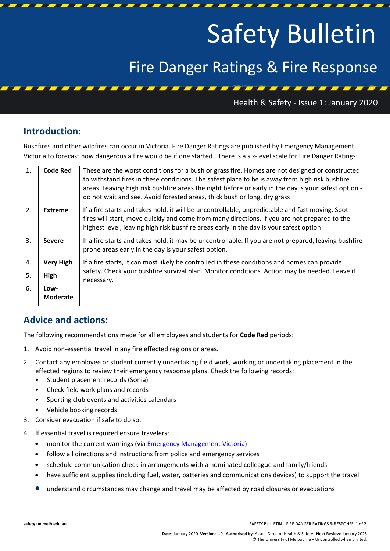# Safety Bulletin

## Fire Danger Ratings & Fire Response

Health & Safety - Issue 1: January 2020

### **Introduction:**

Bushfires and other wildfires can occur in Victoria. Fire Danger Ratings are published by Emergency Management Victoria to forecast how dangerous a fire would be if one started. There is a six-level scale for Fire Danger Ratings:

| $\mathbf{1}$ . | <b>Code Red</b>         | These are the worst conditions for a bush or grass fire. Homes are not designed or constructed<br>to withstand fires in these conditions. The safest place to be is away from high risk bushfire<br>areas. Leaving high risk bushfire areas the night before or early in the day is your safest option -<br>do not wait and see. Avoid forested areas, thick bush or long, dry grass |
|----------------|-------------------------|--------------------------------------------------------------------------------------------------------------------------------------------------------------------------------------------------------------------------------------------------------------------------------------------------------------------------------------------------------------------------------------|
| 2.             | <b>Extreme</b>          | If a fire starts and takes hold, it will be uncontrollable, unpredictable and fast moving. Spot<br>fires will start, move quickly and come from many directions. If you are not prepared to the<br>highest level, leaving high risk bushfire areas early in the day is your safest option                                                                                            |
| 3.             | <b>Severe</b>           | If a fire starts and takes hold, it may be uncontrollable. If you are not prepared, leaving bushfire<br>prone areas early in the day is your safest option.                                                                                                                                                                                                                          |
| 4.             | <b>Very High</b>        | If a fire starts, it can most likely be controlled in these conditions and homes can provide<br>safety. Check your bushfire survival plan. Monitor conditions. Action may be needed. Leave if<br>necessary.                                                                                                                                                                          |
| 5.             | High                    |                                                                                                                                                                                                                                                                                                                                                                                      |
| 6.             | Low-<br><b>Moderate</b> |                                                                                                                                                                                                                                                                                                                                                                                      |

### **Advice and actions:**

The following recommendations made for all employees and students for **Code Red** periods:

- 1. Avoid non-essential travel in any fire effected regions or areas.
- 2. Contact any employee or student currently undertaking field work, working or undertaking placement in the effected regions to review their emergency response plans. Check the following records:
	- Student placement records (Sonia)
	- Check field work plans and records
	- Sporting club events and activities calendars
	- Vehicle booking records
- 3. Consider evacuation if safe to do so.
- 4. If essential travel is required ensure travelers:
	- monitor the current warnings (vi[a Emergency Management Victoria\)](http://emergency.vic.gov.au/respond/)
	- follow all directions and instructions from police and emergency services
	- schedule communication check-in arrangements with a nominated colleague and family/friends
	- have sufficient supplies (including fuel, water, batteries and communications devices) to support the travel
	- understand circumstances may change and travel may be affected by road closures or evacuations